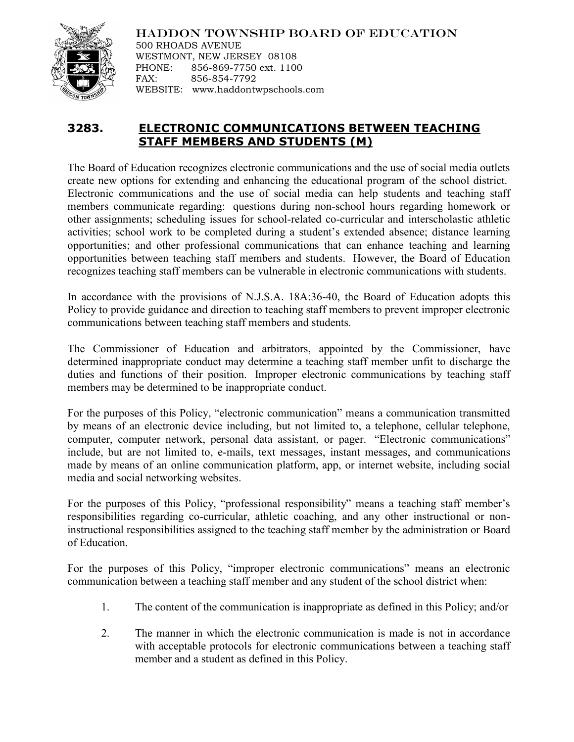

HADDON TOWNSHIP BOARD OF EDUCATION 500 RHOADS AVENUE WESTMONT, NEW JERSEY 08108 PHONE: 856-869-7750 ext. 1100 FAX: 856-854-7792 WEBSITE: www.haddontwpschools.com

## **3283. ELECTRONIC COMMUNICATIONS BETWEEN TEACHING STAFF MEMBERS AND STUDENTS (M)**

The Board of Education recognizes electronic communications and the use of social media outlets create new options for extending and enhancing the educational program of the school district. Electronic communications and the use of social media can help students and teaching staff members communicate regarding: questions during non-school hours regarding homework or other assignments; scheduling issues for school-related co-curricular and interscholastic athletic activities; school work to be completed during a student's extended absence; distance learning opportunities; and other professional communications that can enhance teaching and learning opportunities between teaching staff members and students. However, the Board of Education recognizes teaching staff members can be vulnerable in electronic communications with students.

In accordance with the provisions of N.J.S.A. 18A:36-40, the Board of Education adopts this Policy to provide guidance and direction to teaching staff members to prevent improper electronic communications between teaching staff members and students.

The Commissioner of Education and arbitrators, appointed by the Commissioner, have determined inappropriate conduct may determine a teaching staff member unfit to discharge the duties and functions of their position. Improper electronic communications by teaching staff members may be determined to be inappropriate conduct.

For the purposes of this Policy, "electronic communication" means a communication transmitted by means of an electronic device including, but not limited to, a telephone, cellular telephone, computer, computer network, personal data assistant, or pager. "Electronic communications" include, but are not limited to, e-mails, text messages, instant messages, and communications made by means of an online communication platform, app, or internet website, including social media and social networking websites.

For the purposes of this Policy, "professional responsibility" means a teaching staff member's responsibilities regarding co-curricular, athletic coaching, and any other instructional or noninstructional responsibilities assigned to the teaching staff member by the administration or Board of Education.

For the purposes of this Policy, "improper electronic communications" means an electronic communication between a teaching staff member and any student of the school district when:

- 1. The content of the communication is inappropriate as defined in this Policy; and/or
- 2. The manner in which the electronic communication is made is not in accordance with acceptable protocols for electronic communications between a teaching staff member and a student as defined in this Policy.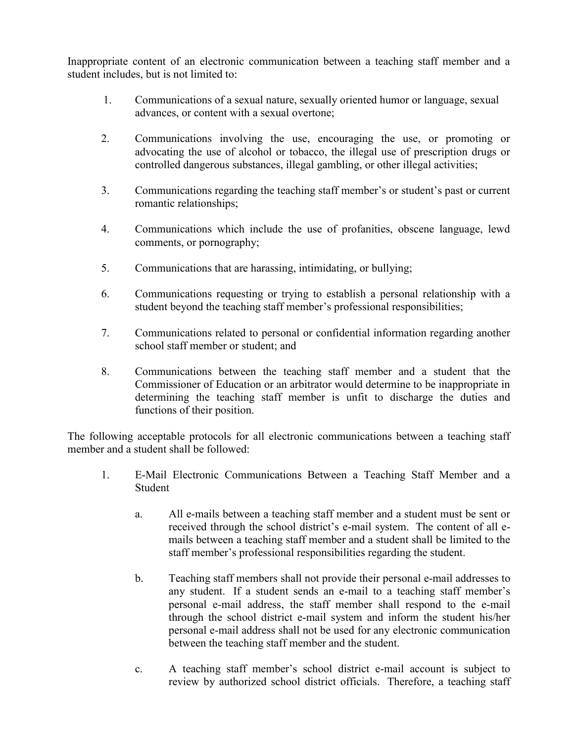Inappropriate content of an electronic communication between a teaching staff member and a student includes, but is not limited to:

- 1. Communications of a sexual nature, sexually oriented humor or language, sexual advances, or content with a sexual overtone;
- 2. Communications involving the use, encouraging the use, or promoting or advocating the use of alcohol or tobacco, the illegal use of prescription drugs or controlled dangerous substances, illegal gambling, or other illegal activities;
- 3. Communications regarding the teaching staff member's or student's past or current romantic relationships;
- 4. Communications which include the use of profanities, obscene language, lewd comments, or pornography;
- 5. Communications that are harassing, intimidating, or bullying;
- 6. Communications requesting or trying to establish a personal relationship with a student beyond the teaching staff member's professional responsibilities;
- 7. Communications related to personal or confidential information regarding another school staff member or student; and
- 8. Communications between the teaching staff member and a student that the Commissioner of Education or an arbitrator would determine to be inappropriate in determining the teaching staff member is unfit to discharge the duties and functions of their position.

The following acceptable protocols for all electronic communications between a teaching staff member and a student shall be followed:

- 1. E-Mail Electronic Communications Between a Teaching Staff Member and a Student
	- a. All e-mails between a teaching staff member and a student must be sent or received through the school district's e-mail system. The content of all emails between a teaching staff member and a student shall be limited to the staff member's professional responsibilities regarding the student.
	- b. Teaching staff members shall not provide their personal e-mail addresses to any student. If a student sends an e-mail to a teaching staff member's personal e-mail address, the staff member shall respond to the e-mail through the school district e-mail system and inform the student his/her personal e-mail address shall not be used for any electronic communication between the teaching staff member and the student.
	- c. A teaching staff member's school district e-mail account is subject to review by authorized school district officials. Therefore, a teaching staff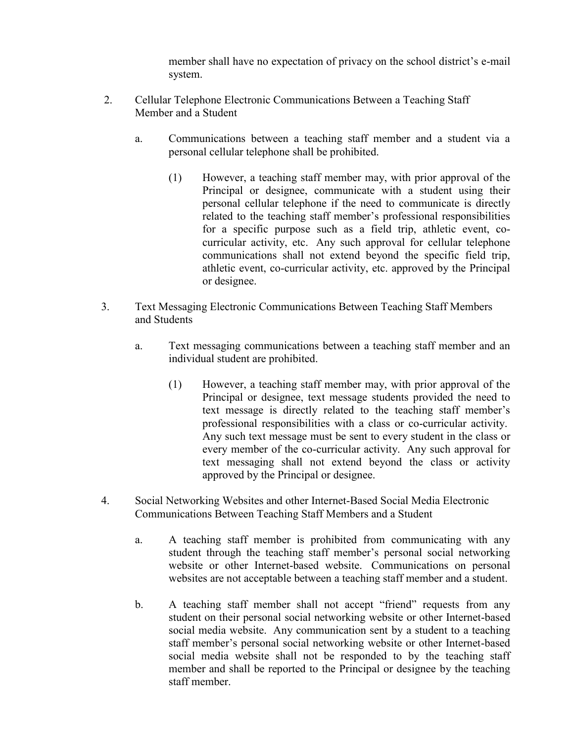member shall have no expectation of privacy on the school district's e-mail system.

- 2. Cellular Telephone Electronic Communications Between a Teaching Staff Member and a Student
	- a. Communications between a teaching staff member and a student via a personal cellular telephone shall be prohibited.
		- (1) However, a teaching staff member may, with prior approval of the Principal or designee, communicate with a student using their personal cellular telephone if the need to communicate is directly related to the teaching staff member's professional responsibilities for a specific purpose such as a field trip, athletic event, cocurricular activity, etc. Any such approval for cellular telephone communications shall not extend beyond the specific field trip, athletic event, co-curricular activity, etc. approved by the Principal or designee.
- 3. Text Messaging Electronic Communications Between Teaching Staff Members and Students
	- a. Text messaging communications between a teaching staff member and an individual student are prohibited.
		- (1) However, a teaching staff member may, with prior approval of the Principal or designee, text message students provided the need to text message is directly related to the teaching staff member's professional responsibilities with a class or co-curricular activity. Any such text message must be sent to every student in the class or every member of the co-curricular activity. Any such approval for text messaging shall not extend beyond the class or activity approved by the Principal or designee.
- 4. Social Networking Websites and other Internet-Based Social Media Electronic Communications Between Teaching Staff Members and a Student
	- a. A teaching staff member is prohibited from communicating with any student through the teaching staff member's personal social networking website or other Internet-based website. Communications on personal websites are not acceptable between a teaching staff member and a student.
	- b. A teaching staff member shall not accept "friend" requests from any student on their personal social networking website or other Internet-based social media website. Any communication sent by a student to a teaching staff member's personal social networking website or other Internet-based social media website shall not be responded to by the teaching staff member and shall be reported to the Principal or designee by the teaching staff member.